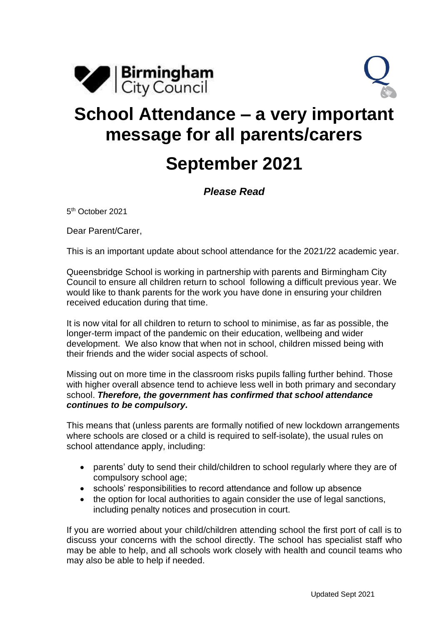



## **School Attendance – a very important message for all parents/carers September 2021**

## *Please Read*

5 th October 2021

Dear Parent/Carer,

This is an important update about school attendance for the 2021/22 academic year.

Queensbridge School is working in partnership with parents and Birmingham City Council to ensure all children return to school following a difficult previous year. We would like to thank parents for the work you have done in ensuring your children received education during that time.

It is now vital for all children to return to school to minimise, as far as possible, the longer-term impact of the pandemic on their education, wellbeing and wider development. We also know that when not in school, children missed being with their friends and the wider social aspects of school.

Missing out on more time in the classroom risks pupils falling further behind. Those with higher overall absence tend to achieve less well in both primary and secondary school. *Therefore, the government has confirmed that school attendance continues to be compulsory.*

This means that (unless parents are formally notified of new lockdown arrangements where schools are closed or a child is required to self-isolate), the usual rules on school attendance apply, including:

- parents' duty to send their child/children to school regularly where they are of compulsory school age;
- schools' responsibilities to record attendance and follow up absence
- the option for local authorities to again consider the use of legal sanctions, including penalty notices and prosecution in court.

If you are worried about your child/children attending school the first port of call is to discuss your concerns with the school directly. The school has specialist staff who may be able to help, and all schools work closely with health and council teams who may also be able to help if needed.